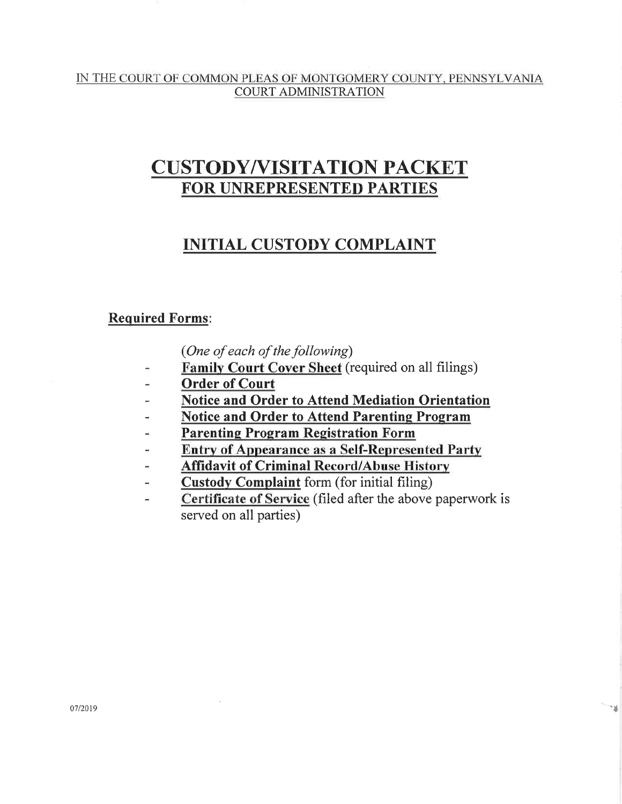#### IN THE COURT OF COMMON PLEAS OF MONTGOMERY COUNTY, PENNSYLVANIA **COURT ADMINISTRATION**

# **CUSTODY/VISITATION PACKET** FOR UNREPRESENTED PARTIES

# **INITIAL CUSTODY COMPLAINT**

## **Required Forms:**

(One of each of the following)

- Family Court Cover Sheet (required on all filings)
- **Order of Court**
- Notice and Order to Attend Mediation Orientation ÷
- **Notice and Order to Attend Parenting Program**
- **Parenting Program Registration Form** ä,
- **Entry of Appearance as a Self-Represented Party**
- **Affidavit of Criminal Record/Abuse History**  $\overline{a}$
- **Custody Complaint** form (for initial filing) ÷
- Certificate of Service (filed after the above paperwork is  $\overline{\phantom{0}}$ served on all parties)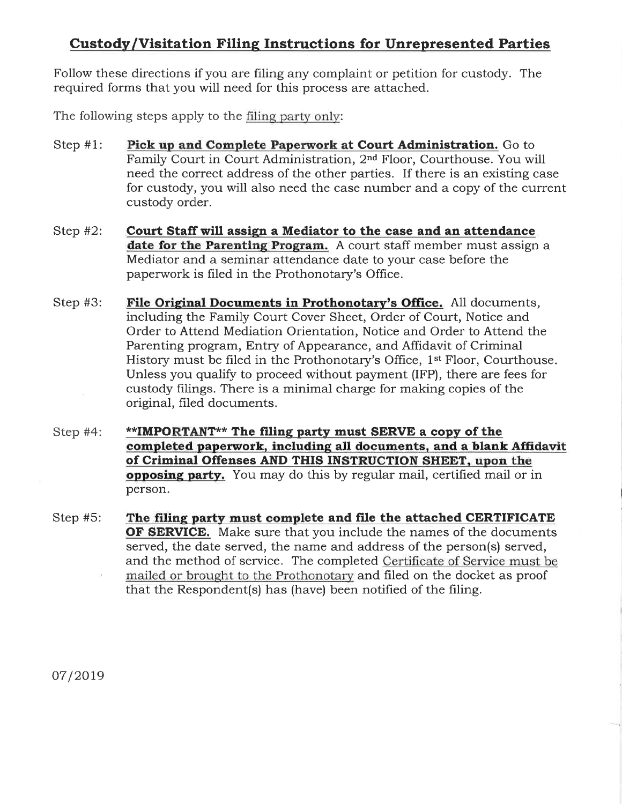# **Custody/Visitation Filing Instructions for Unrepresented Parties**

Follow these directions if you are filing any complaint or petition for custody. The required forms that you will need for this process are attached.

The following steps apply to the filing party only:

- Pick up and Complete Paperwork at Court Administration. Go to Step  $#1$ : Family Court in Court Administration, 2<sup>nd</sup> Floor, Courthouse. You will need the correct address of the other parties. If there is an existing case for custody, you will also need the case number and a copy of the current custody order.
- Court Staff will assign a Mediator to the case and an attendance Step  $#2$ : date for the Parenting Program. A court staff member must assign a Mediator and a seminar attendance date to your case before the paperwork is filed in the Prothonotary's Office.
- File Original Documents in Prothonotary's Office. All documents, Step  $#3$ : including the Family Court Cover Sheet, Order of Court, Notice and Order to Attend Mediation Orientation, Notice and Order to Attend the Parenting program, Entry of Appearance, and Affidavit of Criminal History must be filed in the Prothonotary's Office, 1<sup>st</sup> Floor, Courthouse. Unless you qualify to proceed without payment (IFP), there are fees for custody filings. There is a minimal charge for making copies of the original, filed documents.
- \*\*IMPORTANT\*\* The filing party must SERVE a copy of the Step  $#4$ : completed paperwork, including all documents, and a blank Affidavit of Criminal Offenses AND THIS INSTRUCTION SHEET, upon the opposing party. You may do this by regular mail, certified mail or in person.
- The filing party must complete and file the attached CERTIFICATE Step  $#5$ : **OF SERVICE.** Make sure that you include the names of the documents served, the date served, the name and address of the person(s) served, and the method of service. The completed Certificate of Service must be mailed or brought to the Prothonotary and filed on the docket as proof that the Respondent(s) has (have) been notified of the filing.

07/2019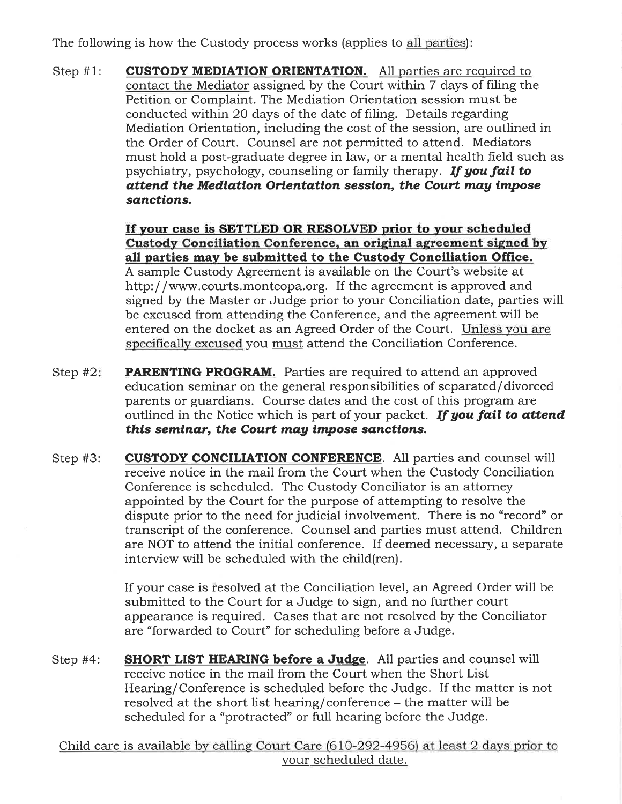The following is how the Custody process works (applies to all parties):

**CUSTODY MEDIATION ORIENTATION.** All parties are required to Step  $#1$ : contact the Mediator assigned by the Court within 7 days of filing the Petition or Complaint. The Mediation Orientation session must be conducted within 20 days of the date of filing. Details regarding Mediation Orientation, including the cost of the session, are outlined in the Order of Court. Counsel are not permitted to attend. Mediators must hold a post-graduate degree in law, or a mental health field such as psychiatry, psychology, counseling or family therapy. If you fail to attend the Mediation Orientation session, the Court may impose sanctions.

> If your case is SETTLED OR RESOLVED prior to your scheduled Custody Conciliation Conference, an original agreement signed by all parties may be submitted to the Custody Conciliation Office. A sample Custody Agreement is available on the Court's website at http://www.courts.montcopa.org. If the agreement is approved and signed by the Master or Judge prior to your Conciliation date, parties will be excused from attending the Conference, and the agreement will be entered on the docket as an Agreed Order of the Court. Unless you are specifically excused you must attend the Conciliation Conference.

- **PARENTING PROGRAM.** Parties are required to attend an approved Step  $#2$ : education seminar on the general responsibilities of separated/divorced parents or guardians. Course dates and the cost of this program are outlined in the Notice which is part of your packet. If you fail to attend this seminar, the Court may impose sanctions.
- **CUSTODY CONCILIATION CONFERENCE.** All parties and counsel will Step  $#3$ : receive notice in the mail from the Court when the Custody Conciliation Conference is scheduled. The Custody Conciliator is an attorney appointed by the Court for the purpose of attempting to resolve the dispute prior to the need for judicial involvement. There is no "record" or transcript of the conference. Counsel and parties must attend. Children are NOT to attend the initial conference. If deemed necessary, a separate interview will be scheduled with the child(ren).

If your case is resolved at the Conciliation level, an Agreed Order will be submitted to the Court for a Judge to sign, and no further court appearance is required. Cases that are not resolved by the Conciliator are "forwarded to Court" for scheduling before a Judge.

Step  $#4$ : **SHORT LIST HEARING before a Judge.** All parties and counsel will receive notice in the mail from the Court when the Short List Hearing/Conference is scheduled before the Judge. If the matter is not resolved at the short list hearing/conference – the matter will be scheduled for a "protracted" or full hearing before the Judge.

Child care is available by calling Court Care (610-292-4956) at least 2 days prior to your scheduled date.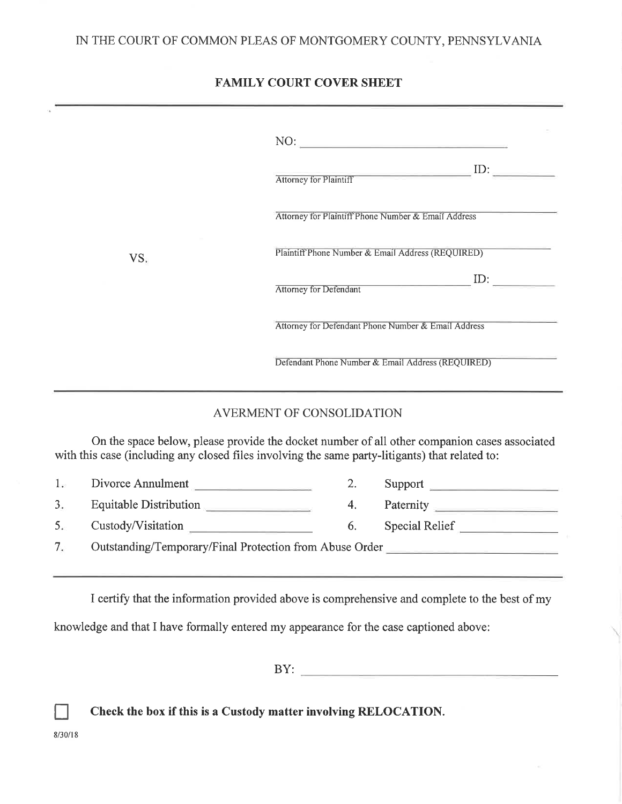#### IN THE COURT OF COMMON PLEAS OF MONTGOMERY COUNTY, PENNSYLVANIA

## **FAMILY COURT COVER SHEET**

|                              | Attorney for Plaintiff ID:<br>Attorney for Plaintiff Phone Number & Email Address                                                                                                               |  |  |
|------------------------------|-------------------------------------------------------------------------------------------------------------------------------------------------------------------------------------------------|--|--|
| VS.                          | Plaintiff Phone Number & Email Address (REQUIRED)                                                                                                                                               |  |  |
|                              | ID:<br><b>Attorney for Defendant</b>                                                                                                                                                            |  |  |
|                              | Attorney for Defendant Phone Number & Email Address                                                                                                                                             |  |  |
|                              | Defendant Phone Number & Email Address (REQUIRED)                                                                                                                                               |  |  |
|                              | AVERMENT OF CONSOLIDATION                                                                                                                                                                       |  |  |
|                              | On the space below, please provide the docket number of all other companion cases associated<br>with this case (including any closed files involving the same party-litigants) that related to: |  |  |
| Divorce Annulment<br>1.      | Support<br>2.                                                                                                                                                                                   |  |  |
| Equitable Distribution<br>3. | Paternity<br>4.                                                                                                                                                                                 |  |  |
| Custody/Visitation<br>5.     | Special Relief<br>6.                                                                                                                                                                            |  |  |

Outstanding/Temporary/Final Protection from Abuse Order  $7.$ 

I certify that the information provided above is comprehensive and complete to the best of my

knowledge and that I have formally entered my appearance for the case captioned above:

 $BY:$ 

Check the box if this is a Custody matter involving RELOCATION.

 $8/30/18$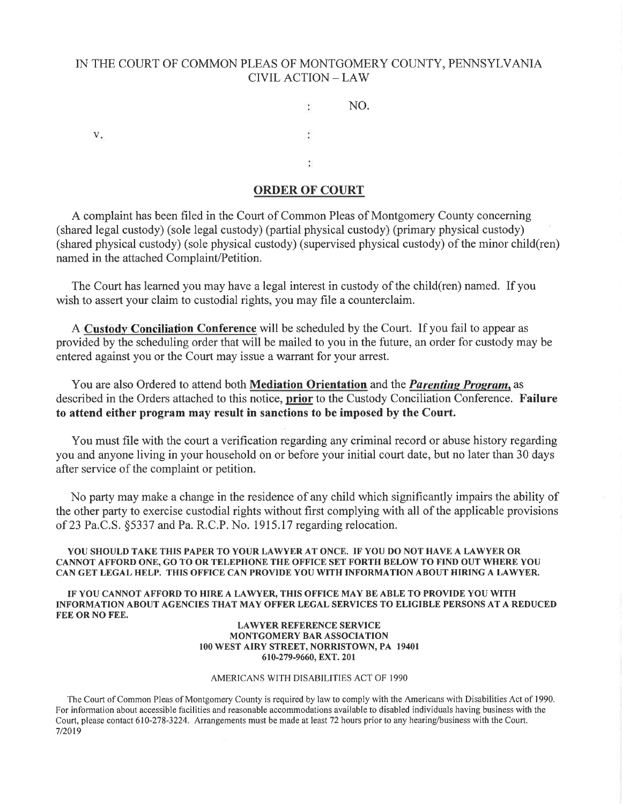#### IN THE COURT OF COMMON PLEAS OF MONTGOMERY COUNTY, PENNSYLVANIA **CIVIL ACTION - LAW**

NO.  $\ddot{\cdot}$  $V_{\star}$ ÷  $\tilde{\Sigma}$ 

#### **ORDER OF COURT**

A complaint has been filed in the Court of Common Pleas of Montgomery County concerning (shared legal custody) (sole legal custody) (partial physical custody) (primary physical custody) (shared physical custody) (sole physical custody) (supervised physical custody) of the minor child(ren) named in the attached Complaint/Petition.

The Court has learned you may have a legal interest in custody of the child(ren) named. If you wish to assert your claim to custodial rights, you may file a counterclaim.

A Custody Conciliation Conference will be scheduled by the Court. If you fail to appear as provided by the scheduling order that will be mailed to you in the future, an order for custody may be entered against you or the Court may issue a warrant for your arrest.

You are also Ordered to attend both Mediation Orientation and the *Parenting Program*, as described in the Orders attached to this notice, prior to the Custody Conciliation Conference. Failure to attend either program may result in sanctions to be imposed by the Court.

You must file with the court a verification regarding any criminal record or abuse history regarding you and anyone living in your household on or before your initial court date, but no later than 30 days after service of the complaint or petition.

No party may make a change in the residence of any child which significantly impairs the ability of the other party to exercise custodial rights without first complying with all of the applicable provisions of 23 Pa.C.S. §5337 and Pa. R.C.P. No. 1915.17 regarding relocation.

YOU SHOULD TAKE THIS PAPER TO YOUR LAWYER AT ONCE. IF YOU DO NOT HAVE A LAWYER OR CANNOT AFFORD ONE, GO TO OR TELEPHONE THE OFFICE SET FORTH BELOW TO FIND OUT WHERE YOU CAN GET LEGAL HELP. THIS OFFICE CAN PROVIDE YOU WITH INFORMATION ABOUT HIRING A LAWYER.

IF YOU CANNOT AFFORD TO HIRE A LAWYER, THIS OFFICE MAY BE ABLE TO PROVIDE YOU WITH INFORMATION ABOUT AGENCIES THAT MAY OFFER LEGAL SERVICES TO ELIGIBLE PERSONS AT A REDUCED FEE OR NO FEE.

#### **LAWYER REFERENCE SERVICE** MONTGOMERY BAR ASSOCIATION 100 WEST AIRY STREET, NORRISTOWN, PA 19401 610-279-9660, EXT. 201

#### AMERICANS WITH DISABILITIES ACT OF 1990

The Court of Common Pleas of Montgomery County is required by law to comply with the Americans with Disabilities Act of 1990. For information about accessible facilities and reasonable accommodations available to disabled individuals having business with the Court, please contact 610-278-3224. Arrangements must be made at least 72 hours prior to any hearing/business with the Court. 7/2019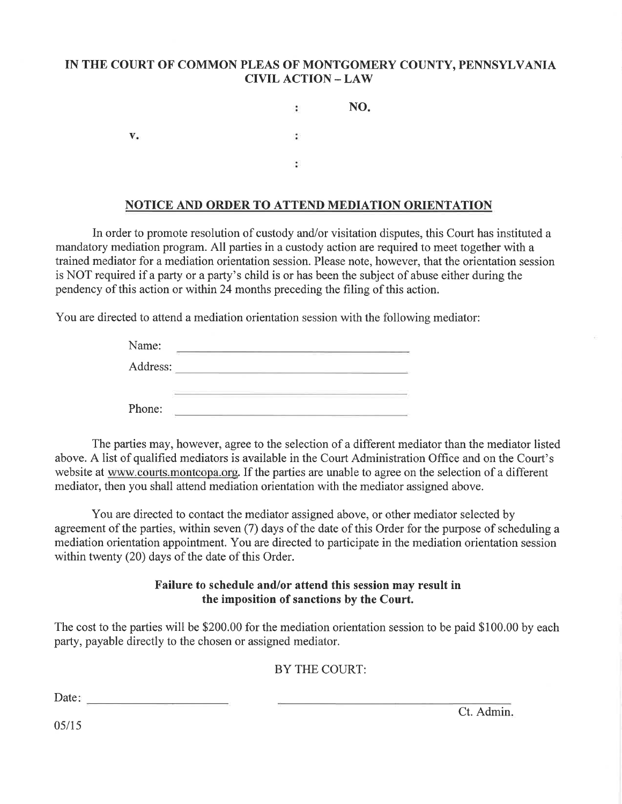### IN THE COURT OF COMMON PLEAS OF MONTGOMERY COUNTY, PENNSYLVANIA **CIVIL ACTION - LAW**

NO. ÷  $V_{\bullet}$ 鬧  $\ddot{\phantom{a}}$ 

### NOTICE AND ORDER TO ATTEND MEDIATION ORIENTATION

In order to promote resolution of custody and/or visitation disputes, this Court has instituted a mandatory mediation program. All parties in a custody action are required to meet together with a trained mediator for a mediation orientation session. Please note, however, that the orientation session is NOT required if a party or a party's child is or has been the subject of abuse either during the pendency of this action or within 24 months preceding the filing of this action.

You are directed to attend a mediation orientation session with the following mediator:

| Name:    |  |
|----------|--|
| Address: |  |
|          |  |
| Phone:   |  |

The parties may, however, agree to the selection of a different mediator than the mediator listed above. A list of qualified mediators is available in the Court Administration Office and on the Court's website at www.courts.montcopa.org. If the parties are unable to agree on the selection of a different mediator, then you shall attend mediation orientation with the mediator assigned above.

You are directed to contact the mediator assigned above, or other mediator selected by agreement of the parties, within seven (7) days of the date of this Order for the purpose of scheduling a mediation orientation appointment. You are directed to participate in the mediation orientation session within twenty (20) days of the date of this Order.

#### Failure to schedule and/or attend this session may result in the imposition of sanctions by the Court.

The cost to the parties will be \$200.00 for the mediation orientation session to be paid \$100.00 by each party, payable directly to the chosen or assigned mediator.

BY THE COURT:

Date:

Ct. Admin.

 $05/15$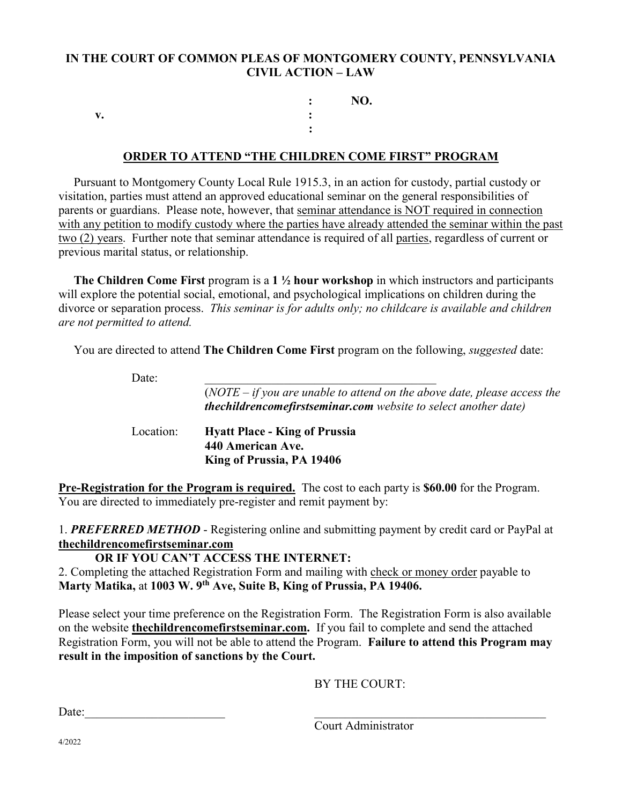### **IN THE COURT OF COMMON PLEAS OF MONTGOMERY COUNTY, PENNSYLVANIA CIVIL ACTION – LAW**

 **: NO. v. : :**

#### **ORDER TO ATTEND "THE CHILDREN COME FIRST" PROGRAM**

 Pursuant to Montgomery County Local Rule 1915.3, in an action for custody, partial custody or visitation, parties must attend an approved educational seminar on the general responsibilities of parents or guardians. Please note, however, that seminar attendance is NOT required in connection with any petition to modify custody where the parties have already attended the seminar within the past two (2) years. Further note that seminar attendance is required of all parties, regardless of current or previous marital status, or relationship.

 **The Children Come First** program is a **1 ½ hour workshop** in which instructors and participants will explore the potential social, emotional, and psychological implications on children during the divorce or separation process. *This seminar is for adults only; no childcare is available and children are not permitted to attend.* 

You are directed to attend **The Children Come First** program on the following, *suggested* date:

Date:  $\qquad \qquad \qquad$ 

|           | $(NOTE - if you are unable to attend on the above date, please access the$<br><b>thechildrencomefirstseminar.com</b> website to select another date) |
|-----------|------------------------------------------------------------------------------------------------------------------------------------------------------|
| Location: | <b>Hyatt Place - King of Prussia</b><br>440 American Ave.<br>King of Prussia, PA 19406                                                               |

**Pre-Registration for the Program is required.** The cost to each party is **\$60.00** for the Program. You are directed to immediately pre-register and remit payment by:

1. *PREFERRED METHOD* - Registering online and submitting payment by credit card or PayPal at **thechildrencomefirstseminar.com**

**OR IF YOU CAN'T ACCESS THE INTERNET:**

2. Completing the attached Registration Form and mailing with check or money order payable to **Marty Matika,** at **1003 W. 9th Ave, Suite B, King of Prussia, PA 19406.**

Please select your time preference on the Registration Form. The Registration Form is also available on the website **thechildrencomefirstseminar.com.** If you fail to complete and send the attached Registration Form, you will not be able to attend the Program. **Failure to attend this Program may result in the imposition of sanctions by the Court.**

BY THE COURT:

 $Date:$ 

Court Administrator

4/2022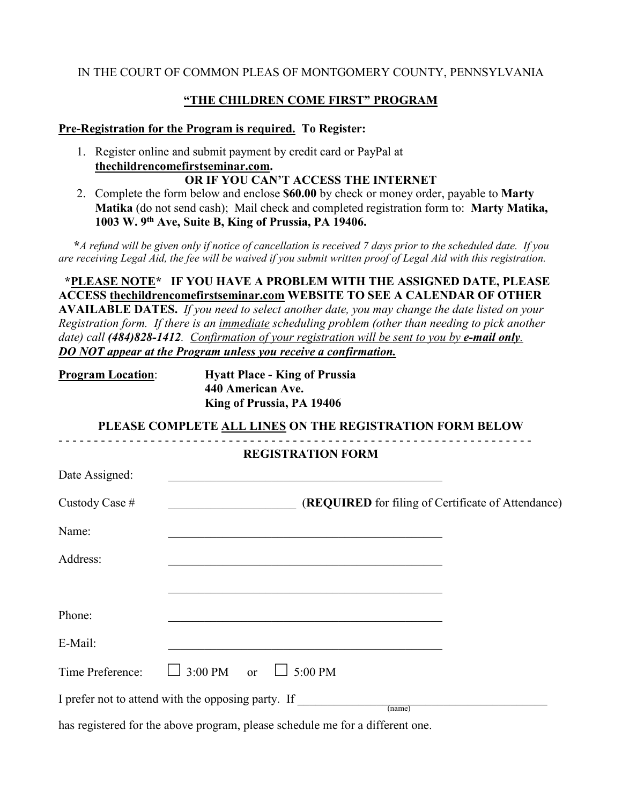### **"THE CHILDREN COME FIRST" PROGRAM**

#### **Pre-Registration for the Program is required. To Register:**

1. Register online and submit payment by credit card or PayPal at **thechildrencomefirstseminar.com.**

# **OR IF YOU CAN'T ACCESS THE INTERNET**

2. Complete the form below and enclose **\$60.00** by check or money order, payable to **Marty Matika** (do not send cash); Mail check and completed registration form to: **Marty Matika, 1003 W. 9th Ave, Suite B, King of Prussia, PA 19406.** 

 **\****A refund will be given only if notice of cancellation is received 7 days prior to the scheduled date. If you are receiving Legal Aid, the fee will be waived if you submit written proof of Legal Aid with this registration.* 

 **\*PLEASE NOTE\* IF YOU HAVE A PROBLEM WITH THE ASSIGNED DATE, PLEASE ACCESS thechildrencomefirstseminar.com WEBSITE TO SEE A CALENDAR OF OTHER** 

**AVAILABLE DATES.** *If you need to select another date, you may change the date listed on your Registration form. If there is an immediate scheduling problem (other than needing to pick another date) call (484)828-1412. Confirmation of your registration will be sent to you by e-mail only. DO NOT appear at the Program unless you receive a confirmation.*

| <b>Program Location:</b> | <b>Hyatt Place - King of Prussia</b> |  |
|--------------------------|--------------------------------------|--|
|                          | 440 American Ave.                    |  |
|                          | King of Prussia, PA 19406            |  |

**PLEASE COMPLETE ALL LINES ON THE REGISTRATION FORM BELOW** - - - - - - - - - - - - - - - - - - - - - - - - - - - - - - - - - - - - - - - - - - - - - - - - - - - - - - - - - - - - - - - - - - -

| <b>REGISTRATION FORM</b> |                                                                                                                       |  |  |  |
|--------------------------|-----------------------------------------------------------------------------------------------------------------------|--|--|--|
| Date Assigned:           | <u> 1989 - Johann Barn, mars eta inperiodo eta inperiodo eta inperiodo eta inperiodo eta inperiodo eta inperiodo </u> |  |  |  |
| Custody Case #           | (REQUIRED for filing of Certificate of Attendance)                                                                    |  |  |  |
| Name:                    |                                                                                                                       |  |  |  |
| Address:                 |                                                                                                                       |  |  |  |
|                          |                                                                                                                       |  |  |  |
| Phone:                   |                                                                                                                       |  |  |  |
| E-Mail:                  |                                                                                                                       |  |  |  |
| Time Preference:         | $3:00 \text{ PM}$ or $\Box$ 5:00 PM<br>$\mathbf{1}$                                                                   |  |  |  |
|                          | I prefer not to attend with the opposing party. If<br>(name)                                                          |  |  |  |

has registered for the above program, please schedule me for a different one.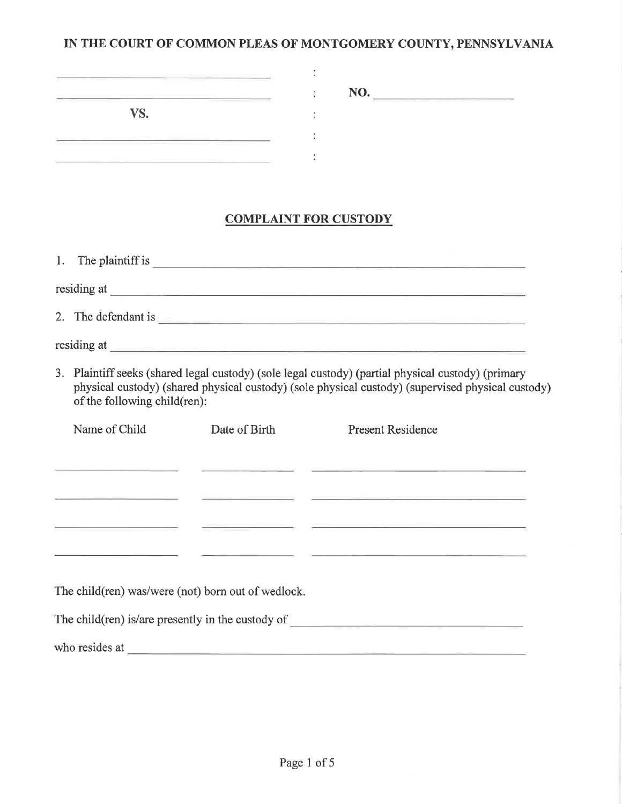### IN THE COURT OF COMMON PLEAS OF MONTGOMERY COUNTY, PENNSYLVANIA

| the contract of the contract of the | NO.<br>the property of the control of the con-<br>the contract of the contract of the contract of the contract of the contract of the contract of the contract of |
|-------------------------------------|-------------------------------------------------------------------------------------------------------------------------------------------------------------------|
| VS.                                 |                                                                                                                                                                   |
|                                     |                                                                                                                                                                   |

# **COMPLAINT FOR CUSTODY**

| -1. | The plaintiff is    |
|-----|---------------------|
|     | residing at         |
|     | 2. The defendant is |
|     | residing at         |

3. Plaintiff seeks (shared legal custody) (sole legal custody) (partial physical custody) (primary physical custody) (shared physical custody) (sole physical custody) (supervised physical custody) of the following child(ren):

| Name of Child                                                                                                  | Date of Birth | <b>Present Residence</b>                                                                                       |  |  |  |
|----------------------------------------------------------------------------------------------------------------|---------------|----------------------------------------------------------------------------------------------------------------|--|--|--|
|                                                                                                                |               |                                                                                                                |  |  |  |
| and the control of the control of the control of the control of                                                |               | 1000 - San Angeles, San Angeles, San Angeles, San Angeles, San Angeles, San Angeles, San Angeles, San Angeles, |  |  |  |
|                                                                                                                |               |                                                                                                                |  |  |  |
|                                                                                                                |               |                                                                                                                |  |  |  |
|                                                                                                                |               |                                                                                                                |  |  |  |
| The child(ren) was/were (not) born out of wedlock.                                                             |               |                                                                                                                |  |  |  |
|                                                                                                                |               |                                                                                                                |  |  |  |
| The child $(\text{ren})$ is <i>are</i> presently in the custody of                                             |               |                                                                                                                |  |  |  |
| who resides at the contract of the contract of the contract of the contract of the contract of the contract of |               |                                                                                                                |  |  |  |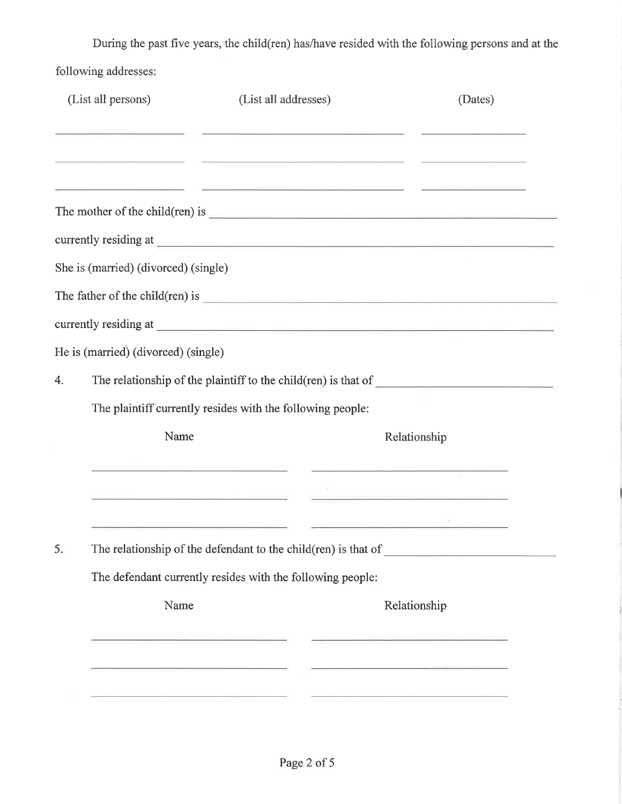During the past five years, the child(ren) has/have resided with the following persons and at the following addresses:

| (List all persons)<br>(List all addresses) |                                                                |                                                            |                                                                                                                                                                                                                                                                                                                                                               | (Dates) |  |  |  |  |
|--------------------------------------------|----------------------------------------------------------------|------------------------------------------------------------|---------------------------------------------------------------------------------------------------------------------------------------------------------------------------------------------------------------------------------------------------------------------------------------------------------------------------------------------------------------|---------|--|--|--|--|
|                                            |                                                                |                                                            |                                                                                                                                                                                                                                                                                                                                                               |         |  |  |  |  |
|                                            |                                                                |                                                            | The mother of the child(ren) is $\frac{1}{2}$                                                                                                                                                                                                                                                                                                                 |         |  |  |  |  |
|                                            |                                                                |                                                            |                                                                                                                                                                                                                                                                                                                                                               |         |  |  |  |  |
|                                            | She is (married) (divorced) (single)                           |                                                            |                                                                                                                                                                                                                                                                                                                                                               |         |  |  |  |  |
|                                            |                                                                |                                                            | The father of the child(ren) is $\frac{1}{2}$ is $\frac{1}{2}$ is $\frac{1}{2}$ is $\frac{1}{2}$ is $\frac{1}{2}$ is $\frac{1}{2}$ is $\frac{1}{2}$ is $\frac{1}{2}$ is $\frac{1}{2}$ is $\frac{1}{2}$ is $\frac{1}{2}$ is $\frac{1}{2}$ is $\frac{1}{2}$ is $\frac{1}{2}$ is $\frac{1}{2$                                                                    |         |  |  |  |  |
|                                            |                                                                |                                                            | currently residing at experience of the contract of the contract of the contract of the contract of the contract of the contract of the contract of the contract of the contract of the contract of the contract of the contra                                                                                                                                |         |  |  |  |  |
|                                            | He is (married) (divorced) (single)                            |                                                            |                                                                                                                                                                                                                                                                                                                                                               |         |  |  |  |  |
| 4.                                         |                                                                |                                                            |                                                                                                                                                                                                                                                                                                                                                               |         |  |  |  |  |
|                                            |                                                                | The plaintiff currently resides with the following people: |                                                                                                                                                                                                                                                                                                                                                               |         |  |  |  |  |
|                                            | Name                                                           |                                                            | Relationship                                                                                                                                                                                                                                                                                                                                                  |         |  |  |  |  |
|                                            |                                                                |                                                            | <u>Southern and the company of the company of the company of the company of the company of the company of the company of the company of the company of the company of the company of the company of the company of the company o</u><br><u> 1989 - Johann Harry Harry Harry Harry Harry Harry Harry Harry Harry Harry Harry Harry Harry Harry Harry Harry</u> | PE.     |  |  |  |  |
|                                            |                                                                |                                                            | <u> 1980 - Johann Harry Harry Barn, amerikan personal (h. 1980).</u><br>1980 - Johann Harry, politik eta biztanleriar (h. 1980).                                                                                                                                                                                                                              |         |  |  |  |  |
| 5.                                         | The relationship of the defendant to the child(ren) is that of |                                                            |                                                                                                                                                                                                                                                                                                                                                               |         |  |  |  |  |
|                                            | The defendant currently resides with the following people:     |                                                            |                                                                                                                                                                                                                                                                                                                                                               |         |  |  |  |  |
|                                            | Name                                                           |                                                            | Relationship                                                                                                                                                                                                                                                                                                                                                  |         |  |  |  |  |
|                                            |                                                                |                                                            | <u> Alexandro de la concerta de la c</u>                                                                                                                                                                                                                                                                                                                      |         |  |  |  |  |
|                                            |                                                                |                                                            | the contract of the contract of the contract of the contract of the contract of                                                                                                                                                                                                                                                                               |         |  |  |  |  |
|                                            |                                                                |                                                            |                                                                                                                                                                                                                                                                                                                                                               |         |  |  |  |  |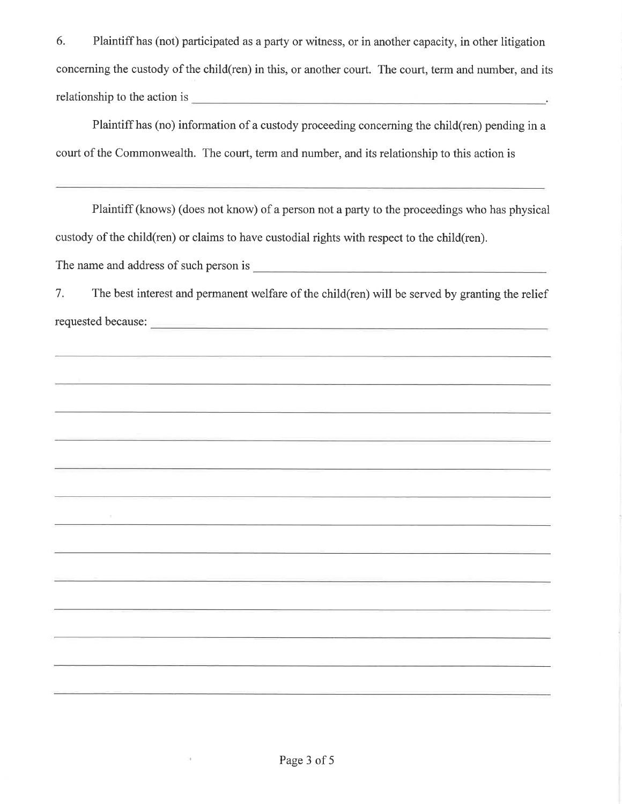6. Plaintiff has (not) participated as a party or witness, or in another capacity, in other litigation concerning the custody of the child(ren) in this, or another court. The court, term and number, and its relationship to the action is experience of the set of the set of the set of the set of the set of the set of the set of the set of the set of the set of the set of the set of the set of the set of the set of the set of th

Plaintiff has (no) information of a custody proceeding concerning the child(ren) pending in a court of the Commonwealth. The court, term and number, and its relationship to this action is

Plaintiff (knows) (does not know) of a person not a party to the proceedings who has physical custody of the child(ren) or claims to have custodial rights with respect to the child(ren).

The name and address of such person is expression of the name and address of such person is

7. The best interest and permanent welfare of the child (ren) will be served by granting the relief 

 $\bar{\rm H}$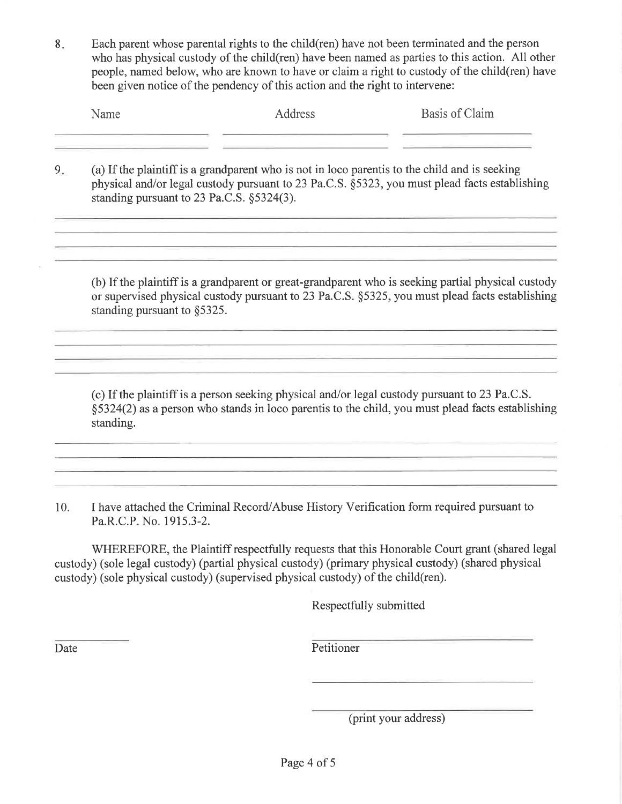Each parent whose parental rights to the child (ren) have not been terminated and the person 8. who has physical custody of the child (ren) have been named as parties to this action. All other people, named below, who are known to have or claim a right to custody of the child(ren) have been given notice of the pendency of this action and the right to intervene:

|    | Name                                                                                                                                                                                                                                             | Address                                                                                                                                                                                                                | Basis of Claim |
|----|--------------------------------------------------------------------------------------------------------------------------------------------------------------------------------------------------------------------------------------------------|------------------------------------------------------------------------------------------------------------------------------------------------------------------------------------------------------------------------|----------------|
| 9. | (a) If the plaintiff is a grandparent who is not in loco parent is to the child and is seeking<br>physical and/or legal custody pursuant to 23 Pa.C.S. §5323, you must plead facts establishing<br>standing pursuant to 23 Pa.C.S. $\S$ 5324(3). |                                                                                                                                                                                                                        |                |
|    |                                                                                                                                                                                                                                                  | (b) If the plaintiff is a grandparent or great-grandparent who is seeking partial physical custody<br>or supervised physical custody pursuant to 23 $P_2 \cap S_3$ $S_4$ $S_5$ $S_6$ you must plead facts establishing |                |

or supervised physical custody pursuant to 23 Pa.C.S. §5325, you must plead facts establishing standing pursuant to §5325.

(c) If the plaintiff is a person seeking physical and/or legal custody pursuant to 23 Pa.C.S. §5324(2) as a person who stands in loco parentis to the child, you must plead facts establishing standing.

10. I have attached the Criminal Record/Abuse History Verification form required pursuant to Pa.R.C.P. No. 1915.3-2.

WHEREFORE, the Plaintiff respectfully requests that this Honorable Court grant (shared legal) custody) (sole legal custody) (partial physical custody) (primary physical custody) (shared physical custody) (sole physical custody) (supervised physical custody) of the child(ren).

Respectfully submitted

Date

Petitioner

(print your address)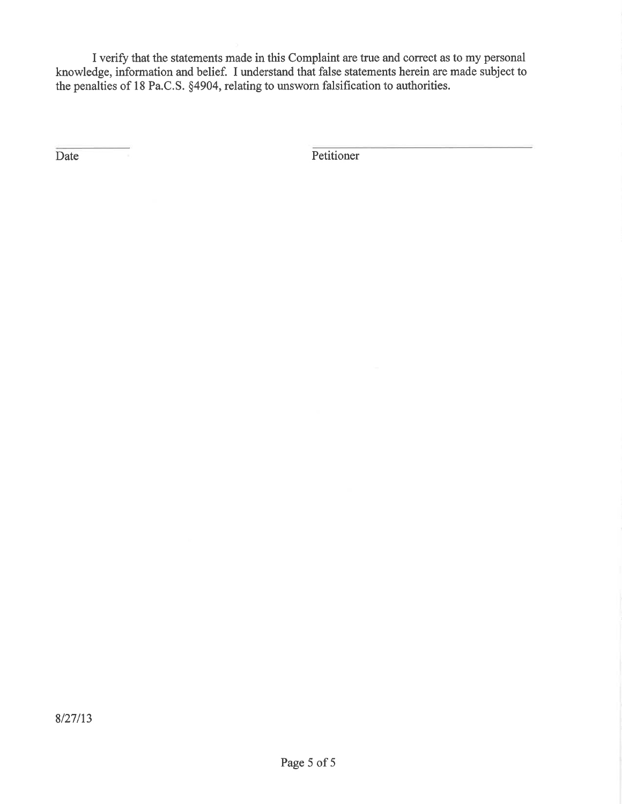I verify that the statements made in this Complaint are true and correct as to my personal knowledge, information and belief. I understand that false statements herein are made subject to the penalties of 18 Pa.C.S. §4904, relating to unsworn falsification to authorities.

Date

Petitioner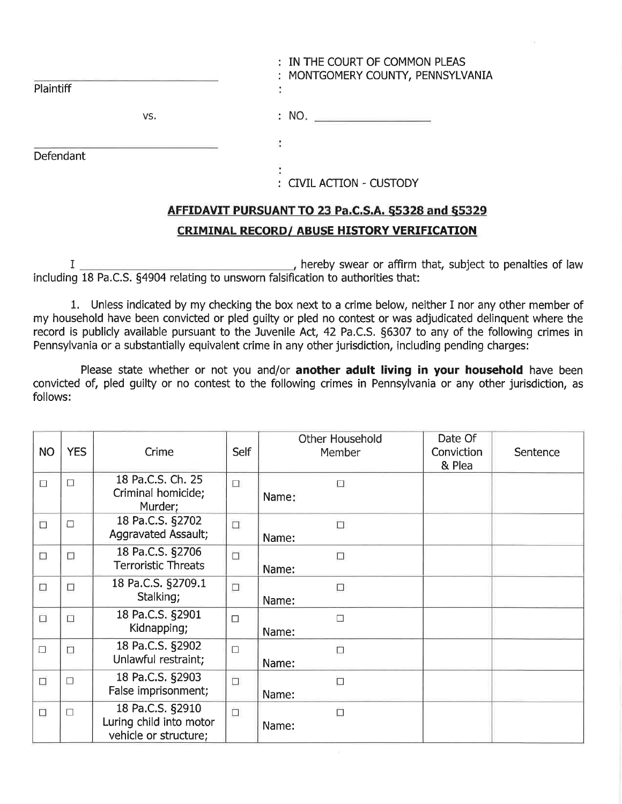| Plaintiff | : IN THE COURT OF COMMON PLEAS<br>: MONTGOMERY COUNTY, PENNSYLVANIA |
|-----------|---------------------------------------------------------------------|
| VS.       | : NO.                                                               |
| Defendant |                                                                     |
|           | : CIVIL ACTION - CUSTODY                                            |

# AFFIDAVIT PURSUANT TO 23 Pa.C.S.A. §5328 and §5329 **CRIMINAL RECORD/ ABUSE HISTORY VERIFICATION**

hereby swear or affirm that, subject to penalties of law  $I$ . including 18 Pa.C.S. §4904 relating to unsworn falsification to authorities that:

1. Unless indicated by my checking the box next to a crime below, neither I nor any other member of my household have been convicted or pled guilty or pled no contest or was adjudicated delinquent where the record is publicly available pursuant to the Juvenile Act, 42 Pa.C.S. §6307 to any of the following crimes in Pennsylvania or a substantially equivalent crime in any other jurisdiction, including pending charges:

Please state whether or not you and/or another adult living in your household have been convicted of, pled guilty or no contest to the following crimes in Pennsylvania or any other jurisdiction, as follows:

| <b>NO</b>                | <b>YES</b> | Crime                                                                | Self      | <b>Other Household</b><br>Member | Date Of<br>Conviction<br>& Plea | Sentence |
|--------------------------|------------|----------------------------------------------------------------------|-----------|----------------------------------|---------------------------------|----------|
| $\overline{\phantom{a}}$ | $\Box$     | 18 Pa.C.S. Ch. 25<br>Criminal homicide;<br>Murder;                   | $\Box$    | Ω<br>Name:                       |                                 |          |
| $\Box$                   | $\Box$     | 18 Pa.C.S. §2702<br><b>Aggravated Assault;</b>                       | $\Box$    | $\Box$<br>Name:                  |                                 |          |
| $\square$                | $\Box$     | 18 Pa.C.S. §2706<br><b>Terroristic Threats</b>                       | $\Box$    | $\Box$<br>Name:                  |                                 |          |
| $\Box$                   | $\Box$     | 18 Pa.C.S. §2709.1<br>Stalking;                                      | $\square$ | $\Box$<br>Name:                  |                                 |          |
| $\Box$                   | $\Box$     | 18 Pa.C.S. §2901<br>Kidnapping;                                      | $\Box$    | $\Box$<br>Name:                  |                                 |          |
| $\Box$                   | $\Box$     | 18 Pa.C.S. §2902<br>Unlawful restraint;                              | $\Box$    | $\Box$<br>Name:                  |                                 |          |
| $\Box$                   | $\Box$     | 18 Pa.C.S. §2903<br>False imprisonment;                              | $\square$ | Ċ<br>Name:                       |                                 |          |
| Ò                        | $\Box$     | 18 Pa.C.S. §2910<br>Luring child into motor<br>vehicle or structure; | $\square$ | $\Box$<br>Name:                  |                                 |          |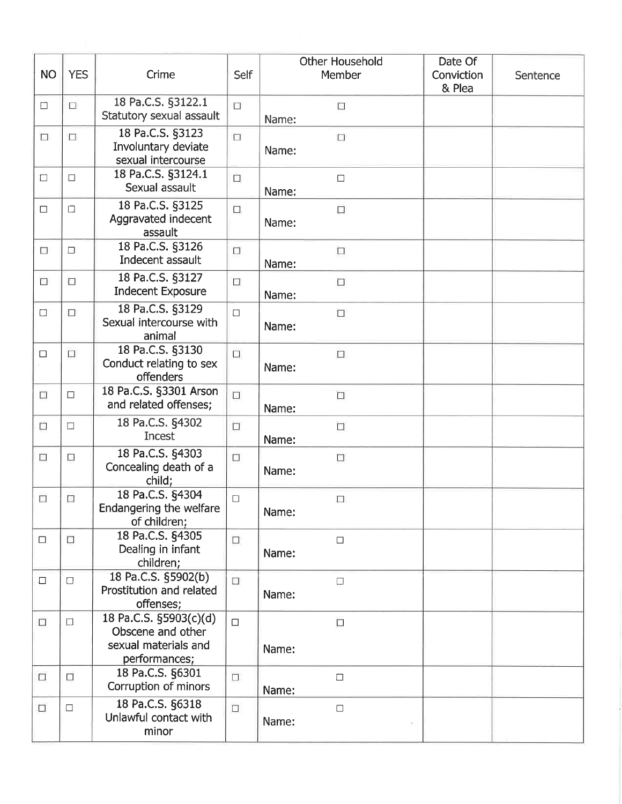| <b>NO</b>                | <b>YES</b> | Crime                                                                                | Self   | <b>Other Household</b><br>Member | Date Of<br>Conviction<br>& Plea | Sentence |
|--------------------------|------------|--------------------------------------------------------------------------------------|--------|----------------------------------|---------------------------------|----------|
| $\Box$                   | $\Box$     | 18 Pa.C.S. §3122.1<br>Statutory sexual assault                                       | $\Box$ | □<br>Name:                       |                                 |          |
| $\Box$                   | $\Box$     | 18 Pa.C.S. §3123<br>Involuntary deviate<br>sexual intercourse                        | $\Box$ | $\Box$<br>Name:                  |                                 |          |
| $\Box$                   | $\Box$     | 18 Pa.C.S. §3124.1<br>Sexual assault                                                 | $\Box$ | $\Box$<br>Name:                  |                                 |          |
| $\Box$                   | $\Box$     | 18 Pa.C.S. §3125<br>Aggravated indecent<br>assault                                   | $\Box$ | $\Box$<br>Name:                  |                                 |          |
| $\Box$                   | $\Box$     | 18 Pa.C.S. §3126<br>Indecent assault                                                 | $\Box$ | $\Box$<br>Name:                  |                                 |          |
| o                        | □          | 18 Pa.C.S. §3127<br><b>Indecent Exposure</b>                                         | $\Box$ | $\Box$<br>Name:                  |                                 |          |
| $\Box$                   | $\Box$     | 18 Pa.C.S. §3129<br>Sexual intercourse with<br>animal                                | $\Box$ | $\Box$<br>Name:                  |                                 |          |
| $\Box$                   | $\Box$     | 18 Pa.C.S. §3130<br>Conduct relating to sex<br>offenders                             | $\Box$ | $\Box$<br>Name:                  |                                 |          |
| $\Box$                   | $\Box$     | 18 Pa.C.S. §3301 Arson<br>and related offenses;                                      | $\Box$ | $\Box$<br>Name:                  |                                 |          |
| $\Box$                   | $\Box$     | 18 Pa.C.S. §4302<br>Incest                                                           | $\Box$ | $\Box$<br>Name:                  |                                 |          |
| $\overline{\phantom{a}}$ | П          | 18 Pa.C.S. §4303<br>Concealing death of a<br>child;                                  | $\Box$ | $\Box$<br>Name:                  |                                 |          |
| $\Box$                   | Œ          | 18 Pa.C.S. §4304<br>Endangering the welfare<br>of children;                          | $\Box$ | $\Box$<br>Name:                  |                                 |          |
| $\Box$                   | $\Box$     | 18 Pa.C.S. §4305<br>Dealing in infant<br>children;                                   | $\Box$ | $\Box$<br>Name:                  |                                 |          |
| $\Box$                   | $\Box$     | 18 Pa.C.S. §5902(b)<br>Prostitution and related<br>offenses;                         | $\Box$ | $\Box$<br>Name:                  |                                 |          |
| $\Box$                   | $\Box$     | 18 Pa.C.S. §5903(c)(d)<br>Obscene and other<br>sexual materials and<br>performances; | $\Box$ | $\Box$<br>Name:                  |                                 |          |
| $\Box$                   | $\Box$     | 18 Pa.C.S. §6301<br>Corruption of minors                                             | $\Box$ | $\Box$<br>Name:                  |                                 |          |
| $\Box$                   | $\Box$     | 18 Pa.C.S. §6318<br>Unlawful contact with<br>minor                                   | $\Box$ | $\Box$<br>Name:                  |                                 |          |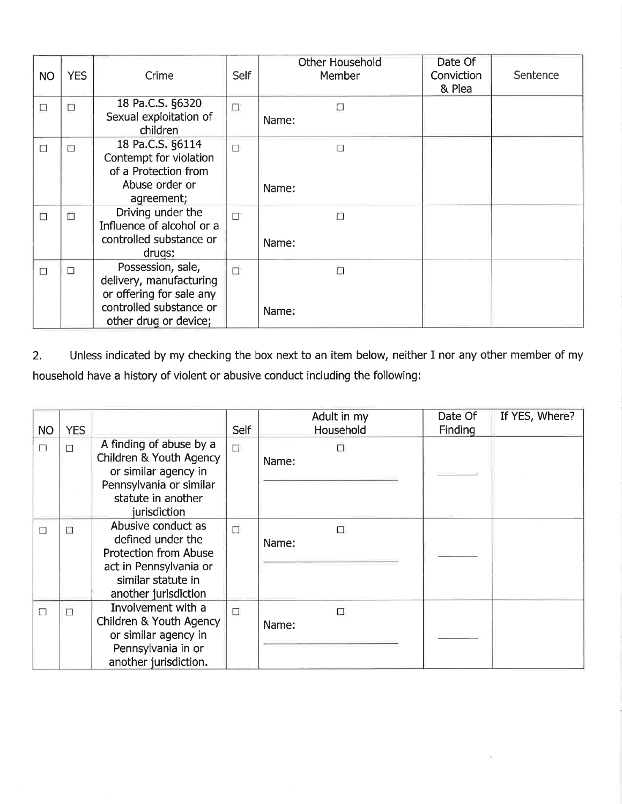| <b>NO</b> | <b>YES</b> | Crime                                                                                                                        | <b>Self</b> | Other Household<br>Member | Date Of<br>Conviction<br>& Plea | Sentence |
|-----------|------------|------------------------------------------------------------------------------------------------------------------------------|-------------|---------------------------|---------------------------------|----------|
| $\Box$    | $\Box$     | 18 Pa.C.S. §6320<br>Sexual exploitation of<br>children                                                                       | $\Box$      | $\Box$<br>Name:           |                                 |          |
| П         | П          | 18 Pa.C.S. §6114<br>Contempt for violation<br>of a Protection from<br>Abuse order or<br>agreement;                           | $\Box$      | Ð<br>Name:                |                                 |          |
| $\Box$    | П          | Driving under the<br>Influence of alcohol or a<br>controlled substance or<br>drugs;                                          | $\Box$      | О<br>Name:                |                                 |          |
| $\Box$    | П          | Possession, sale,<br>delivery, manufacturing<br>or offering for sale any<br>controlled substance or<br>other drug or device; | $\Box$      | $\Box$<br>Name:           |                                 |          |

Unless indicated by my checking the box next to an item below, neither I nor any other member of my  $2.$ household have a history of violent or abusive conduct including the following:

| NO.    | <b>YES</b> |                                                                                                                                                 | Self   | Adult in my<br><b>Household</b> | Date Of<br>Finding | If YES, Where? |
|--------|------------|-------------------------------------------------------------------------------------------------------------------------------------------------|--------|---------------------------------|--------------------|----------------|
| $\Box$ | П          | A finding of abuse by a<br>Children & Youth Agency<br>or similar agency in<br>Pennsylvania or similar<br>statute in another<br>jurisdiction     | Π      | п<br>Name:                      |                    |                |
| Ð      | e.         | Abusive conduct as<br>defined under the<br><b>Protection from Abuse</b><br>act in Pennsylvania or<br>similar statute in<br>another jurisdiction | $\Box$ | П<br>Name:                      |                    |                |
| П      | П          | Involvement with a<br>Children & Youth Agency<br>or similar agency in<br>Pennsylvania in or<br>another jurisdiction.                            | $\Box$ | $\Box$<br>Name:                 |                    |                |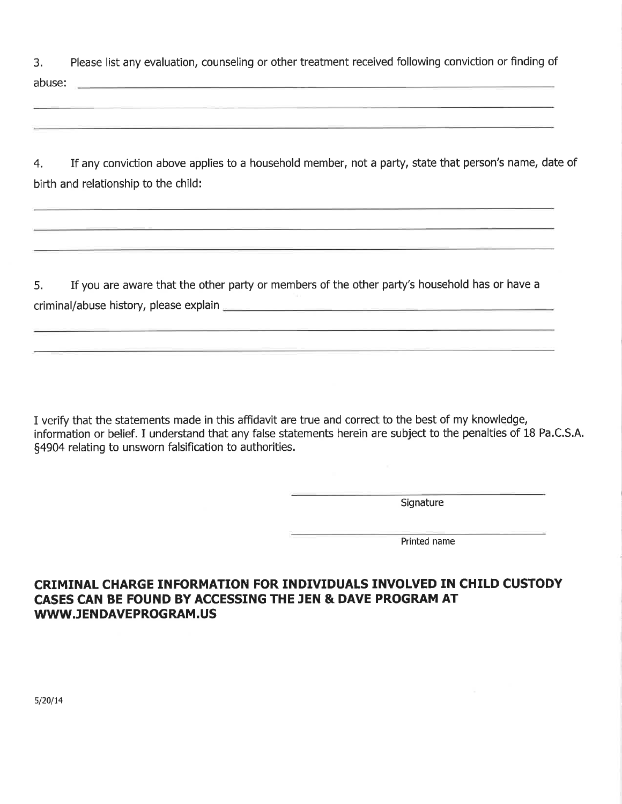Please list any evaluation, counseling or other treatment received following conviction or finding of 3. abuse: 2008 - 2008 - 2008 - 2008 - 2008 - 2008 - 2018 - 2018 - 2018 - 2018 - 2018 - 2018 - 2018 - 2018 - 2018

If any conviction above applies to a household member, not a party, state that person's name, date of  $4.$ birth and relationship to the child:

If you are aware that the other party or members of the other party's household has or have a 5. 

I verify that the statements made in this affidavit are true and correct to the best of my knowledge, information or belief. I understand that any false statements herein are subject to the penalties of 18 Pa.C.S.A. §4904 relating to unsworn falsification to authorities.

Signature

Printed name

CRIMINAL CHARGE INFORMATION FOR INDIVIDUALS INVOLVED IN CHILD CUSTODY CASES CAN BE FOUND BY ACCESSING THE JEN & DAVE PROGRAM AT WWW.JENDAVEPROGRAM.US

 $5/20/14$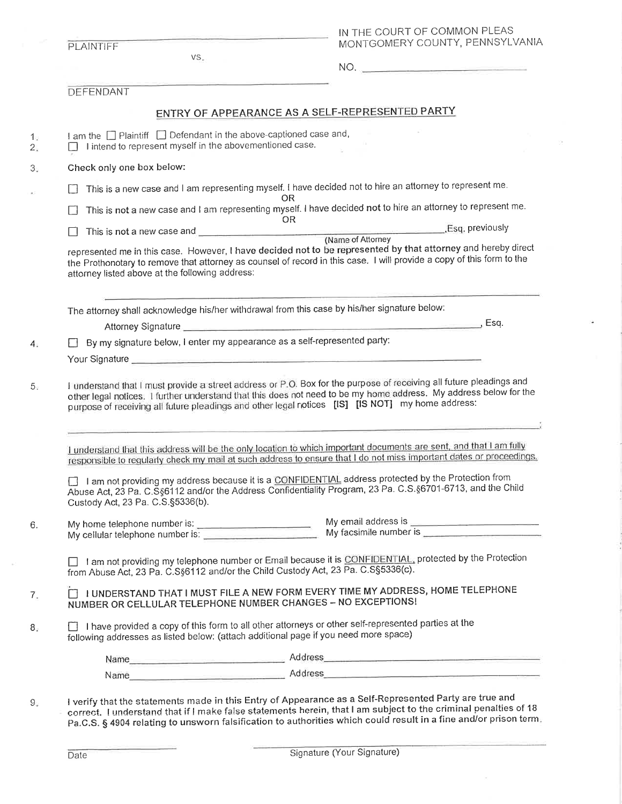|              | PLAINTIFF                                                                                                                                                                                   |                                                                                                                                                                                                                                                                |  |  |  |  |
|--------------|---------------------------------------------------------------------------------------------------------------------------------------------------------------------------------------------|----------------------------------------------------------------------------------------------------------------------------------------------------------------------------------------------------------------------------------------------------------------|--|--|--|--|
|              | VS.                                                                                                                                                                                         | MONTGOMERY COUNTY, PENNSYLVANIA                                                                                                                                                                                                                                |  |  |  |  |
|              |                                                                                                                                                                                             | NO.                                                                                                                                                                                                                                                            |  |  |  |  |
|              | DEFENDANT                                                                                                                                                                                   |                                                                                                                                                                                                                                                                |  |  |  |  |
|              |                                                                                                                                                                                             | ENTRY OF APPEARANCE AS A SELF-REPRESENTED PARTY                                                                                                                                                                                                                |  |  |  |  |
|              | I am the $\Box$ Plaintiff $\Box$ Defendant in the above-captioned case and,                                                                                                                 |                                                                                                                                                                                                                                                                |  |  |  |  |
|              | I intend to represent myself in the abovementioned case.                                                                                                                                    |                                                                                                                                                                                                                                                                |  |  |  |  |
|              | Check only one box below:                                                                                                                                                                   |                                                                                                                                                                                                                                                                |  |  |  |  |
|              | This is a new case and I am representing myself. I have decided not to hire an attorney to represent me.<br>OR.                                                                             |                                                                                                                                                                                                                                                                |  |  |  |  |
|              | This is not a new case and I am representing myself. I have decided not to hire an attorney to represent me.                                                                                |                                                                                                                                                                                                                                                                |  |  |  |  |
|              | OR                                                                                                                                                                                          | This is not a new case and <b>CONFIDENTIAL CONSUMING THE CONFIDENTIAL CONSUMING THE CONFIDENTIAL CONFIDENTIAL CONSUMING THE CONFIDENTIAL CONFIDENTIAL CONFIDENTIAL CONFIDENTIAL CONFIDENTIAL CONFIDENTIAL CONFIDENTIAL CONFIDENT</b>                           |  |  |  |  |
|              | attorney listed above at the following address:                                                                                                                                             | represented me in this case. However, I have decided not to be represented by that attorney and hereby direct<br>the Prothonotary to remove that attorney as counsel of record in this case. I will provide a copy of this form to the                         |  |  |  |  |
|              | The attorney shall acknowledge his/her withdrawal from this case by his/her signature below:                                                                                                |                                                                                                                                                                                                                                                                |  |  |  |  |
|              |                                                                                                                                                                                             |                                                                                                                                                                                                                                                                |  |  |  |  |
| $\mathsf{L}$ | By my signature below, I enter my appearance as a self-represented party:                                                                                                                   |                                                                                                                                                                                                                                                                |  |  |  |  |
|              |                                                                                                                                                                                             |                                                                                                                                                                                                                                                                |  |  |  |  |
|              |                                                                                                                                                                                             | I understand that I must provide a street address or P.O. Box for the purpose of receiving all future pleadings and<br>other legal notices. I further understand that this does not need to be my home address. My address below for the                       |  |  |  |  |
|              | purpose of receiving all future pleadings and other legal notices [IS] [IS NOT] my home address:                                                                                            |                                                                                                                                                                                                                                                                |  |  |  |  |
|              |                                                                                                                                                                                             | I understand that this address will be the only location to which important documents are sent, and that I am fully<br>responsible to regularly check my mail at such address to ensure that I do not miss important dates or proceedings.                     |  |  |  |  |
|              | Custody Act, 23 Pa. C.S.§5336(b).                                                                                                                                                           | □ I am not providing my address because it is a CONFIDENTIAL address protected by the Protection from<br>Abuse Act, 23 Pa. C.S§6112 and/or the Address Confidentiality Program, 23 Pa. C.S.§6701-6713, and the Child                                           |  |  |  |  |
|              | My home telephone number is:<br>My cellular telephone number is:                                                                                                                            | My email address is <b>well as a control of the series of the series of the series of the series of the series of the series of the series of the series of the series of the series of the series of the series of the series o</b><br>My facsimile number is |  |  |  |  |
|              | from Abuse Act, 23 Pa. C.S§6112 and/or the Child Custody Act, 23 Pa. C.S§5336(c).                                                                                                           | □ 1 am not providing my telephone number or Email because it is CONFIDENTIAL, protected by the Protection                                                                                                                                                      |  |  |  |  |
|              | NUMBER OR CELLULAR TELEPHONE NUMBER CHANGES - NO EXCEPTIONS!                                                                                                                                | I UNDERSTAND THAT I MUST FILE A NEW FORM EVERY TIME MY ADDRESS, HOME TELEPHONE                                                                                                                                                                                 |  |  |  |  |
|              | I have provided a copy of this form to all other attorneys or other self-represented parties at the<br>following addresses as listed below: (attach additional page if you need more space) |                                                                                                                                                                                                                                                                |  |  |  |  |
|              |                                                                                                                                                                                             | Name Address                                                                                                                                                                                                                                                   |  |  |  |  |

 $\bar{\mathcal{O}}$ 

 $\mathcal{D}^{\mathcal{A}}$